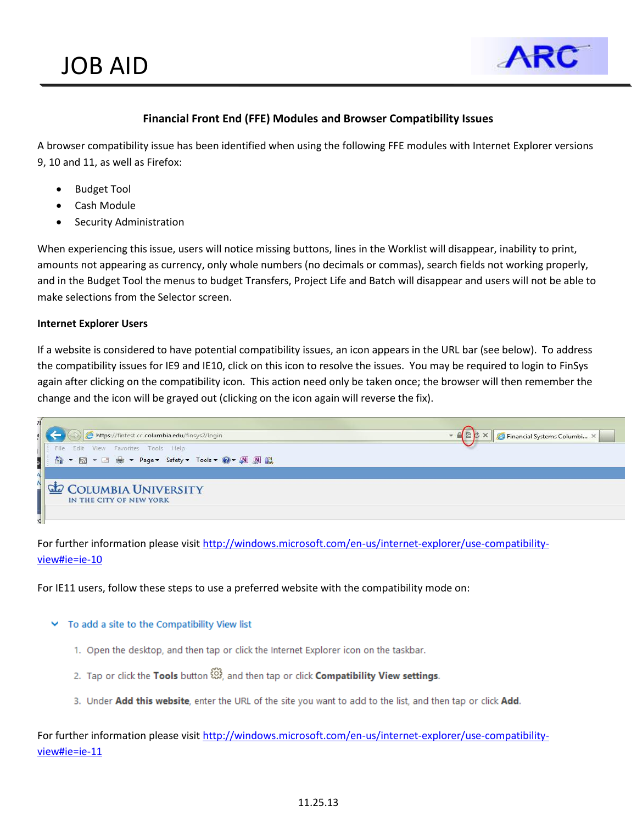

## **Financial Front End (FFE) Modules and Browser Compatibility Issues**

A browser compatibility issue has been identified when using the following FFE modules with Internet Explorer versions 9, 10 and 11, as well as Firefox:

- Budget Tool
- Cash Module
- Security Administration

When experiencing this issue, users will notice missing buttons, lines in the Worklist will disappear, inability to print, amounts not appearing as currency, only whole numbers (no decimals or commas), search fields not working properly, and in the Budget Tool the menus to budget Transfers, Project Life and Batch will disappear and users will not be able to make selections from the Selector screen.

#### **Internet Explorer Users**

If a website is considered to have potential compatibility issues, an icon appears in the URL bar (see below). To address the compatibility issues for IE9 and IE10, click on this icon to resolve the issues. You may be required to login to FinSys again after clicking on the compatibility icon. This action need only be taken once; the browser will then remember the change and the icon will be grayed out (clicking on the icon again will reverse the fix).



For further information please visit [http://windows.microsoft.com/en-us/internet-explorer/use-compatibility](http://windows.microsoft.com/en-us/internet-explorer/use-compatibility-view)[view#ie=ie-10](http://windows.microsoft.com/en-us/internet-explorer/use-compatibility-view)

For IE11 users, follow these steps to use a preferred website with the compatibility mode on:

#### $\vee$  To add a site to the Compatibility View list

- 1. Open the desktop, and then tap or click the Internet Explorer icon on the taskbar.
- 2. Tap or click the Tools button  $\widetilde{\mathbb{S}}_2^3$ , and then tap or click Compatibility View settings.
- 3. Under Add this website, enter the URL of the site you want to add to the list, and then tap or click Add.

For further information please visit [http://windows.microsoft.com/en-us/internet-explorer/use-compatibility](http://windows.microsoft.com/en-us/internet-explorer/use-compatibility-view)[view#ie=ie-11](http://windows.microsoft.com/en-us/internet-explorer/use-compatibility-view)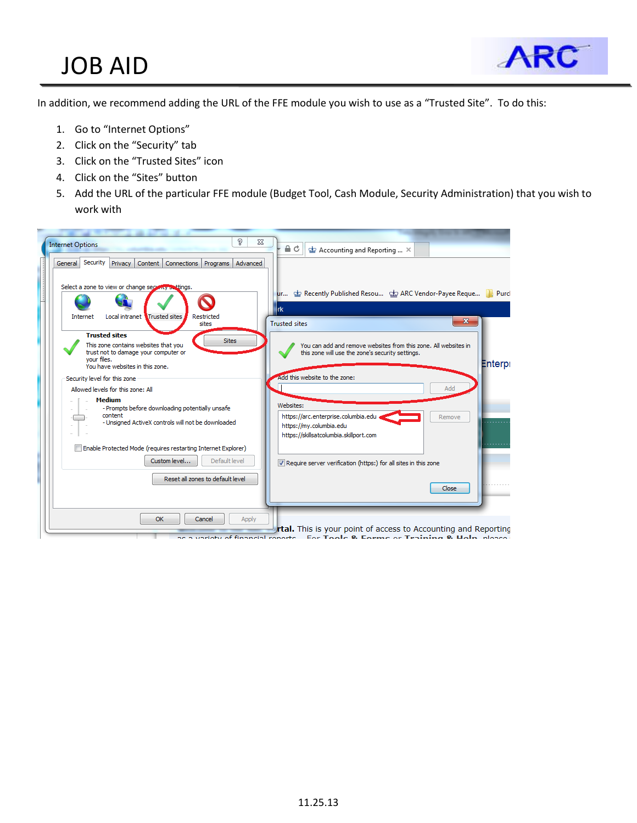# JOB AID



In addition, we recommend adding the URL of the FFE module you wish to use as a "Trusted Site". To do this:

- 1. Go to "Internet Options"
- 2. Click on the "Security" tab
- 3. Click on the "Trusted Sites" icon
- 4. Click on the "Sites" button
- 5. Add the URL of the particular FFE module (Budget Tool, Cash Module, Security Administration) that you wish to work with